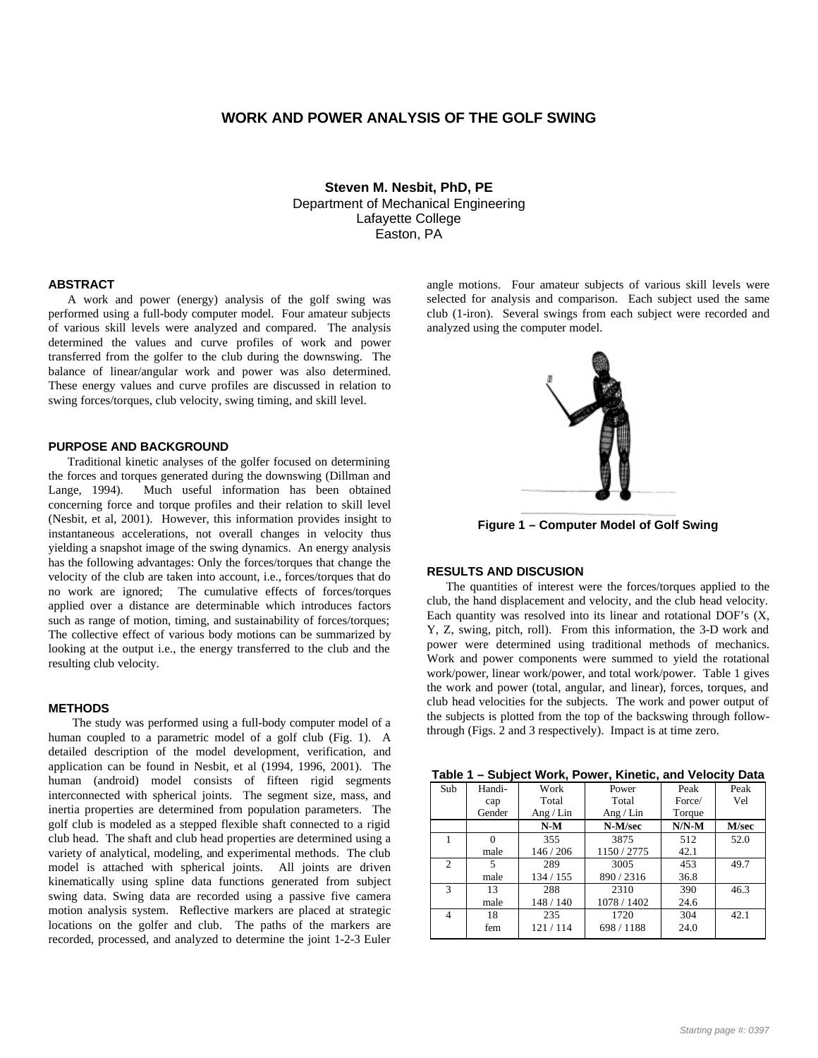# **WORK AND POWER ANALYSIS OF THE GOLF SWING**

**Steven M. Nesbit, PhD, PE** Department of Mechanical Engineering Lafayette College Easton, PA

# **ABSTRACT**

A work and power (energy) analysis of the golf swing was performed using a full-body computer model. Four amateur subjects of various skill levels were analyzed and compared. The analysis determined the values and curve profiles of work and power transferred from the golfer to the club during the downswing. The balance of linear/angular work and power was also determined. These energy values and curve profiles are discussed in relation to swing forces/torques, club velocity, swing timing, and skill level.

# **PURPOSE AND BACKGROUND**

Traditional kinetic analyses of the golfer focused on determining the forces and torques generated during the downswing (Dillman and Lange, 1994). Much useful information has been obtained concerning force and torque profiles and their relation to skill level (Nesbit, et al, 2001). However, this information provides insight to instantaneous accelerations, not overall changes in velocity thus yielding a snapshot image of the swing dynamics. An energy analysis has the following advantages: Only the forces/torques that change the velocity of the club are taken into account, i.e., forces/torques that do no work are ignored; The cumulative effects of forces/torques applied over a distance are determinable which introduces factors such as range of motion, timing, and sustainability of forces/torques; The collective effect of various body motions can be summarized by looking at the output i.e., the energy transferred to the club and the resulting club velocity.

## **METHODS**

The study was performed using a full-body computer model of a human coupled to a parametric model of a golf club (Fig. 1). A detailed description of the model development, verification, and application can be found in Nesbit, et al (1994, 1996, 2001). The human (android) model consists of fifteen rigid segments interconnected with spherical joints. The segment size, mass, and inertia properties are determined from population parameters. The golf club is modeled as a stepped flexible shaft connected to a rigid club head. The shaft and club head properties are determined using a variety of analytical, modeling, and experimental methods. The club model is attached with spherical joints. All joints are driven kinematically using spline data functions generated from subject swing data. Swing data are recorded using a passive five camera motion analysis system. Reflective markers are placed at strategic locations on the golfer and club. The paths of the markers are recorded, processed, and analyzed to determine the joint 1-2-3 Euler angle motions. Four amateur subjects of various skill levels were selected for analysis and comparison. Each subject used the same club (1-iron). Several swings from each subject were recorded and analyzed using the computer model.



**Figure 1 – Computer Model of Golf Swing**

# **RESULTS AND DISCUSION**

The quantities of interest were the forces/torques applied to the club, the hand displacement and velocity, and the club head velocity. Each quantity was resolved into its linear and rotational DOF's (X, Y, Z, swing, pitch, roll). From this information, the 3-D work and power were determined using traditional methods of mechanics. Work and power components were summed to yield the rotational work/power, linear work/power, and total work/power. Table 1 gives the work and power (total, angular, and linear), forces, torques, and club head velocities for the subjects. The work and power output of the subjects is plotted from the top of the backswing through followthrough (Figs. 2 and 3 respectively). Impact is at time zero.

| Table 1 - Subject Work, Power, Kinetic, and Velocity Data |          |             |             |         |       |
|-----------------------------------------------------------|----------|-------------|-------------|---------|-------|
| Sub                                                       | Handi-   | Work        | Power       | Peak    | Peak  |
|                                                           | cap      | Total       | Total       | Force/  | Vel   |
|                                                           | Gender   | Ang / $Lin$ | Ang / $Lin$ | Torque  |       |
|                                                           |          | $N-M$       | N-M/sec     | $N/N-M$ | M/sec |
|                                                           | $\Omega$ | 355         | 3875        | 512     | 52.0  |
|                                                           | male     | 146/206     | 1150/2775   | 42.1    |       |
| 2                                                         | 5        | 289         | 3005        | 453     | 49.7  |
|                                                           | male     | 134 / 155   | 890/2316    | 36.8    |       |
| $\mathcal{R}$                                             | 13       | 288         | 2310        | 390     | 46.3  |
|                                                           | male     | 148/140     | 1078 / 1402 | 24.6    |       |
| $\overline{4}$                                            | 18       | 235         | 1720        | 304     | 42.1  |
|                                                           | fem      | 121/114     | 698/1188    | 24.0    |       |
|                                                           |          |             |             |         |       |